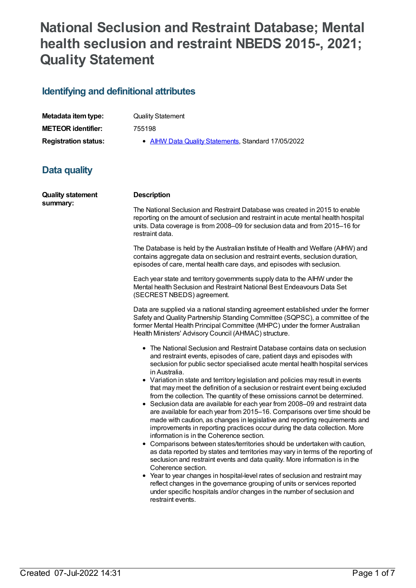# **National Seclusion and Restraint Database; Mental health seclusion and restraint NBEDS 2015-, 2021; Quality Statement**

## **Identifying and definitional attributes**

| Metadata item type:         | <b>Quality Statement</b>                            |
|-----------------------------|-----------------------------------------------------|
| <b>METEOR</b> identifier:   | 755198                                              |
| <b>Registration status:</b> | • AIHW Data Quality Statements, Standard 17/05/2022 |

## **Data quality**

| <b>Quality statement</b><br>summary: | <b>Description</b>                                                                                                                                                                                                                                                                                                                                                                                                                                                                                                                                                                                                                                                                                                                                                                                                                                                                                                                                                                                                                                                                                                                                                                                                                                                                                                                                                                                                  |  |
|--------------------------------------|---------------------------------------------------------------------------------------------------------------------------------------------------------------------------------------------------------------------------------------------------------------------------------------------------------------------------------------------------------------------------------------------------------------------------------------------------------------------------------------------------------------------------------------------------------------------------------------------------------------------------------------------------------------------------------------------------------------------------------------------------------------------------------------------------------------------------------------------------------------------------------------------------------------------------------------------------------------------------------------------------------------------------------------------------------------------------------------------------------------------------------------------------------------------------------------------------------------------------------------------------------------------------------------------------------------------------------------------------------------------------------------------------------------------|--|
|                                      | The National Seclusion and Restraint Database was created in 2015 to enable<br>reporting on the amount of seclusion and restraint in acute mental health hospital<br>units. Data coverage is from 2008-09 for seclusion data and from 2015-16 for<br>restraint data.                                                                                                                                                                                                                                                                                                                                                                                                                                                                                                                                                                                                                                                                                                                                                                                                                                                                                                                                                                                                                                                                                                                                                |  |
|                                      | The Database is held by the Australian Institute of Health and Welfare (AIHW) and<br>contains aggregate data on seclusion and restraint events, seclusion duration,<br>episodes of care, mental health care days, and episodes with seclusion.                                                                                                                                                                                                                                                                                                                                                                                                                                                                                                                                                                                                                                                                                                                                                                                                                                                                                                                                                                                                                                                                                                                                                                      |  |
|                                      | Each year state and territory governments supply data to the AIHW under the<br>Mental health Seclusion and Restraint National Best Endeavours Data Set<br>(SECREST NBEDS) agreement.                                                                                                                                                                                                                                                                                                                                                                                                                                                                                                                                                                                                                                                                                                                                                                                                                                                                                                                                                                                                                                                                                                                                                                                                                                |  |
|                                      | Data are supplied via a national standing agreement established under the former<br>Safety and Quality Partnership Standing Committee (SQPSC), a committee of the<br>former Mental Health Principal Committee (MHPC) under the former Australian<br>Health Ministers' Advisory Council (AHMAC) structure.                                                                                                                                                                                                                                                                                                                                                                                                                                                                                                                                                                                                                                                                                                                                                                                                                                                                                                                                                                                                                                                                                                           |  |
|                                      | • The National Seclusion and Restraint Database contains data on seclusion<br>and restraint events, episodes of care, patient days and episodes with<br>seclusion for public sector specialised acute mental health hospital services<br>in Australia.<br>• Variation in state and territory legislation and policies may result in events<br>that may meet the definition of a seclusion or restraint event being excluded<br>from the collection. The quantity of these omissions cannot be determined.<br>• Seclusion data are available for each year from 2008-09 and restraint data<br>are available for each year from 2015-16. Comparisons over time should be<br>made with caution, as changes in legislative and reporting requirements and<br>improvements in reporting practices occur during the data collection. More<br>information is in the Coherence section.<br>• Comparisons between states/territories should be undertaken with caution,<br>as data reported by states and territories may vary in terms of the reporting of<br>seclusion and restraint events and data quality. More information is in the<br>Coherence section.<br>• Year to year changes in hospital-level rates of seclusion and restraint may<br>reflect changes in the governance grouping of units or services reported<br>under specific hospitals and/or changes in the number of seclusion and<br>restraint events. |  |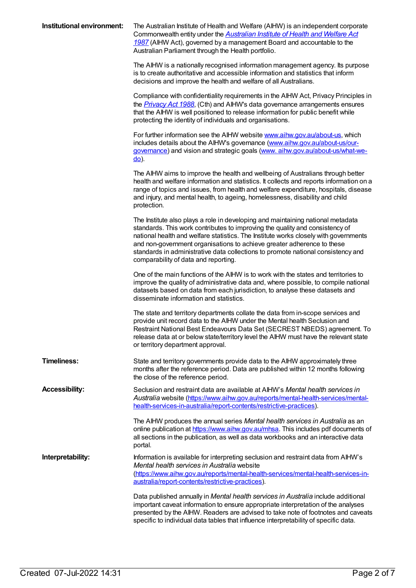| Institutional environment: | The Australian Institute of Health and Welfare (AIHW) is an independent corporate<br>Commonwealth entity under the <b>Australian Institute of Health and Welfare Act</b><br>1987 (AIHW Act), governed by a management Board and accountable to the<br>Australian Parliament through the Health portfolio.                                                                                                                                                     |
|----------------------------|---------------------------------------------------------------------------------------------------------------------------------------------------------------------------------------------------------------------------------------------------------------------------------------------------------------------------------------------------------------------------------------------------------------------------------------------------------------|
|                            | The AIHW is a nationally recognised information management agency. Its purpose<br>is to create authoritative and accessible information and statistics that inform<br>decisions and improve the health and welfare of all Australians.                                                                                                                                                                                                                        |
|                            | Compliance with confidentiality requirements in the AIHW Act, Privacy Principles in<br>the <i>Privacy Act 1988</i> , (Cth) and AIHW's data governance arrangements ensures<br>that the AIHW is well positioned to release information for public benefit while<br>protecting the identity of individuals and organisations.                                                                                                                                   |
|                            | For further information see the AIHW website www.aihw.gov.au/about-us, which<br>includes details about the AIHW's governance (www.aihw.gov.au/about-us/our-<br>governance) and vision and strategic goals (www.aihw.gov.au/about-us/what-we-<br><u>do</u> ).                                                                                                                                                                                                  |
|                            | The AIHW aims to improve the health and wellbeing of Australians through better<br>health and welfare information and statistics. It collects and reports information on a<br>range of topics and issues, from health and welfare expenditure, hospitals, disease<br>and injury, and mental health, to ageing, homelessness, disability and child<br>protection.                                                                                              |
|                            | The Institute also plays a role in developing and maintaining national metadata<br>standards. This work contributes to improving the quality and consistency of<br>national health and welfare statistics. The Institute works closely with governments<br>and non-government organisations to achieve greater adherence to these<br>standards in administrative data collections to promote national consistency and<br>comparability of data and reporting. |
|                            | One of the main functions of the AIHW is to work with the states and territories to<br>improve the quality of administrative data and, where possible, to compile national<br>datasets based on data from each jurisdiction, to analyse these datasets and<br>disseminate information and statistics.                                                                                                                                                         |
|                            | The state and territory departments collate the data from in-scope services and<br>provide unit record data to the AIHW under the Mental health Seclusion and<br>Restraint National Best Endeavours Data Set (SECREST NBEDS) agreement. To<br>release data at or below state/territory level the AIHW must have the relevant state<br>or territory department approval.                                                                                       |
| <b>Timeliness:</b>         | State and territory governments provide data to the AIHW approximately three<br>months after the reference period. Data are published within 12 months following<br>the close of the reference period.                                                                                                                                                                                                                                                        |
| <b>Accessibility:</b>      | Seclusion and restraint data are available at AIHW's Mental health services in<br>Australia website (https://www.aihw.gov.au/reports/mental-health-services/mental-<br>health-services-in-australia/report-contents/restrictive-practices).                                                                                                                                                                                                                   |
|                            | The AIHW produces the annual series Mental health services in Australia as an<br>online publication at https://www.aihw.gov.au/mhsa. This includes pdf documents of<br>all sections in the publication, as well as data workbooks and an interactive data<br>portal.                                                                                                                                                                                          |
| Interpretability:          | Information is available for interpreting seclusion and restraint data from AIHW's<br>Mental health services in Australia website<br>(https://www.aihw.gov.au/reports/mental-health-services/mental-health-services-in-<br>australia/report-contents/restrictive-practices).                                                                                                                                                                                  |
|                            | Data published annually in Mental health services in Australia include additional<br>important caveat information to ensure appropriate interpretation of the analyses<br>presented by the AIHW. Readers are advised to take note of footnotes and caveats<br>specific to individual data tables that influence interpretability of specific data.                                                                                                            |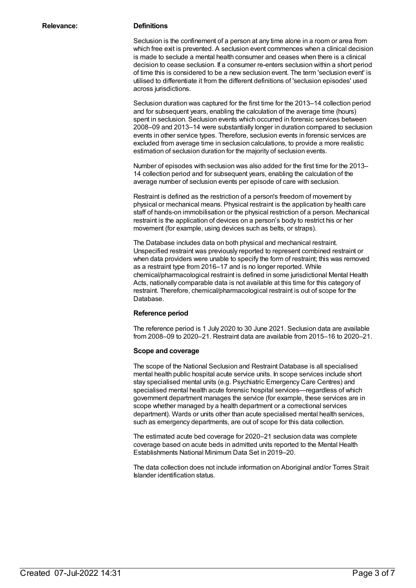Seclusion is the confinement of a person at any time alone in a room or area from which free exit is prevented. A seclusion event commences when a clinical decision is made to seclude a mental health consumer and ceases when there is a clinical decision to cease seclusion. If a consumer re-enters seclusion within a short period of time this is considered to be a new seclusion event. The term 'seclusion event' is utilised to differentiate it from the different definitions of 'seclusion episodes' used across jurisdictions.

Seclusion duration was captured for the first time for the 2013–14 collection period and for subsequent years, enabling the calculation of the average time (hours) spent in seclusion. Seclusion events which occurred in forensic services between 2008–09 and 2013–14 were substantially longer in duration compared to seclusion events in other service types. Therefore, seclusion events in forensic services are excluded from average time in seclusion calculations, to provide a more realistic estimation of seclusion duration for the majority of seclusion events.

Number of episodes with seclusion was also added for the first time for the 2013– 14 collection period and for subsequent years, enabling the calculation of the average number of seclusion events per episode of care with seclusion.

Restraint is defined as the restriction of a person's freedom of movement by physical or mechanical means. Physical restraint is the application by health care staff of hands-on immobilisation or the physical restriction of a person. Mechanical restraint is the application of devices on a person's body to restrict his or her movement (for example, using devices such as belts, or straps).

The Database includes data on both physical and mechanical restraint. Unspecified restraint was previously reported to represent combined restraint or when data providers were unable to specify the form of restraint; this was removed as a restraint type from 2016–17 and is no longer reported. While chemical/pharmacological restraint is defined in some jurisdictional Mental Health Acts, nationally comparable data is not available at this time for this category of restraint. Therefore, chemical/pharmacological restraint is out of scope for the Database.

#### **Reference period**

The reference period is 1 July 2020 to 30 June 2021. Seclusion data are available from 2008–09 to 2020–21. Restraint data are available from 2015–16 to 2020–21.

#### **Scope and coverage**

The scope of the National Seclusion and Restraint Database is all specialised mental health public hospital acute service units. In scope services include short stay specialised mental units (e.g. Psychiatric Emergency Care Centres) and specialised mental health acute forensic hospital services—regardless of which government department manages the service (for example, these services are in scope whether managed by a health department or a correctional services department). Wards or units other than acute specialised mental health services, such as emergency departments, are out of scope for this data collection.

The estimated acute bed coverage for 2020–21 seclusion data was complete coverage based on acute beds in admitted units reported to the Mental Health Establishments National Minimum Data Set in 2019–20.

The data collection does not include information on Aboriginal and/or Torres Strait Islander identification status.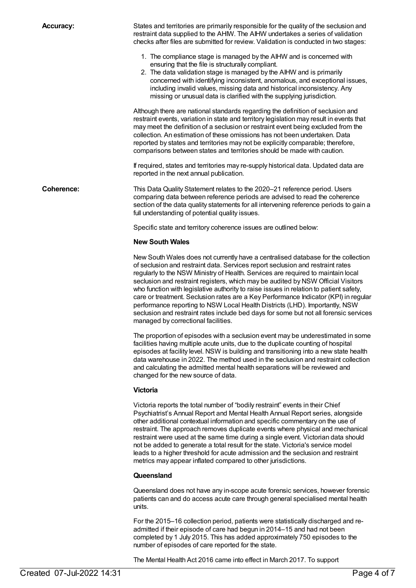**Accuracy:** States and territories are primarily responsible for the quality of the seclusion and restraint data supplied to the AHIW. The AIHW undertakes a series of validation checks after files are submitted for review. Validation is conducted in two stages:

- 1. The compliance stage is managed by the AIHW and is concerned with ensuring that the file is structurally compliant.
- 2. The data validation stage is managed by the AIHW and is primarily concerned with identifying inconsistent, anomalous, and exceptional issues, including invalid values, missing data and historical inconsistency. Any missing or unusual data is clarified with the supplying jurisdiction.

Although there are national standards regarding the definition of seclusion and restraint events, variation in state and territory legislation may result in events that may meet the definition of a seclusion or restraint event being excluded from the collection. An estimation of these omissions has not been undertaken. Data reported by states and territories may not be explicitly comparable; therefore, comparisons between states and territories should be made with caution.

If required, states and territories may re-supply historical data. Updated data are reported in the next annual publication.

**Coherence:** This Data Quality Statement relates to the 2020–21 reference period. Users comparing data between reference periods are advised to read the coherence section of the data quality statements for all intervening reference periods to gain a full understanding of potential quality issues.

Specific state and territory coherence issues are outlined below:

#### **New South Wales**

New South Wales does not currently have a centralised database for the collection of seclusion and restraint data. Services report seclusion and restraint rates regularly to the NSW Ministry of Health. Services are required to maintain local seclusion and restraint registers, which may be audited by NSW Official Visitors who function with legislative authority to raise issues in relation to patient safety, care or treatment. Seclusion rates are a Key Performance Indicator (KPI) in regular performance reporting to NSW Local Health Districts (LHD). Importantly, NSW seclusion and restraint rates include bed days for some but not all forensic services managed by correctional facilities.

The proportion of episodes with a seclusion event may be underestimated in some facilities having multiple acute units, due to the duplicate counting of hospital episodes at facility level. NSW is building and transitioning into a new state health data warehouse in 2022. The method used in the seclusion and restraint collection and calculating the admitted mental health separations will be reviewed and changed for the new source of data.

#### **Victoria**

Victoria reports the total number of "bodily restraint" events in their Chief Psychiatrist's Annual Report and Mental Health Annual Report series, alongside other additional contextual information and specific commentary on the use of restraint. The approach removes duplicate events where physical and mechanical restraint were used at the same time during a single event. Victorian data should not be added to generate a total result for the state. Victoria's service model leads to a higher threshold for acute admission and the seclusion and restraint metrics may appear inflated compared to other jurisdictions.

#### **Queensland**

Queensland does not have any in-scope acute forensic services, however forensic patients can and do access acute care through general specialised mental health units.

For the 2015–16 collection period, patients were statistically discharged and readmitted if their episode of care had begun in 2014–15 and had not been completed by 1 July 2015. This has added approximately 750 episodes to the number of episodes of care reported for the state.

The Mental Health Act 2016 came into effect in March 2017. To support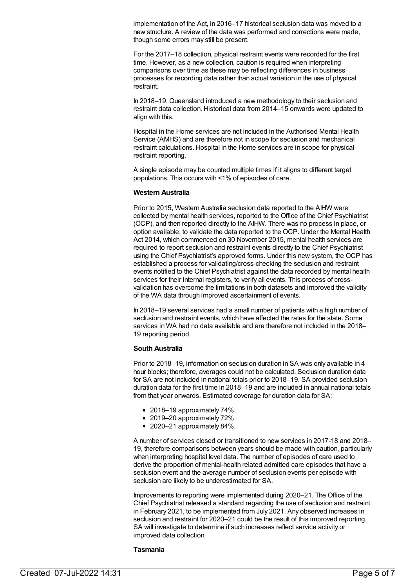implementation of the Act, in 2016–17 historical seclusion data was moved to a new structure. A review of the data was performed and corrections were made, though some errors may still be present.

For the 2017–18 collection, physical restraint events were recorded for the first time. However, as a new collection, caution is required when interpreting comparisons over time as these may be reflecting differences in business processes for recording data rather than actual variation in the use of physical restraint.

In 2018–19, Queensland introduced a new methodology to their seclusion and restraint data collection. Historical data from 2014–15 onwards were updated to align with this.

Hospital in the Home services are not included in the Authorised Mental Health Service (AMHS) and are therefore not in scope for seclusion and mechanical restraint calculations. Hospital in the Home services are in scope for physical restraint reporting.

A single episode may be counted multiple times if it aligns to different target populations. This occurs with <1% of episodes of care.

#### **Western Australia**

Prior to 2015, Western Australia seclusion data reported to the AIHW were collected by mental health services, reported to the Office of the Chief Psychiatrist (OCP), and then reported directly to the AIHW. There was no process in place, or option available, to validate the data reported to the OCP. Under the Mental Health Act 2014, which commenced on 30 November 2015, mental health services are required to report seclusion and restraint events directly to the Chief Psychiatrist using the Chief Psychiatrist's approved forms. Under this new system, the OCP has established a process for validating/cross-checking the seclusion and restraint events notified to the Chief Psychiatrist against the data recorded by mental health services for their internal registers, to verify all events. This process of crossvalidation has overcome the limitations in both datasets and improved the validity of the WA data through improved ascertainment of events.

In 2018–19 several services had a small number of patients with a high number of seclusion and restraint events, which have affected the rates for the state. Some services in WA had no data available and are therefore not included in the 2018– 19 reporting period.

#### **South Australia**

Prior to 2018–19, information on seclusion duration in SA was only available in 4 hour blocks; therefore, averages could not be calculated. Seclusion duration data for SA are not included in national totals prior to 2018–19. SA provided seclusion duration data for the first time in 2018–19 and are included in annual national totals from that year onwards. Estimated coverage for duration data for SA:

- 2018–19 approximately 74%
- 2019–20 approximately 72%
- 2020–21 approximately 84%.

A number of services closed or transitioned to new services in 2017-18 and 2018– 19, therefore comparisons between years should be made with caution, particularly when interpreting hospital level data. The number of episodes of care used to derive the proportion of mental-health related admitted care episodes that have a seclusion event and the average number of seclusion events per episode with seclusion are likely to be underestimated for SA.

Improvements to reporting were implemented during 2020–21. The Office of the Chief Psychiatrist released a standard regarding the use of seclusion and restraint in February 2021, to be implemented from July 2021. Any observed increases in seclusion and restraint for 2020–21 could be the result of this improved reporting. SA will investigate to determine if such increases reflect service activity or improved data collection.

#### **Tasmania**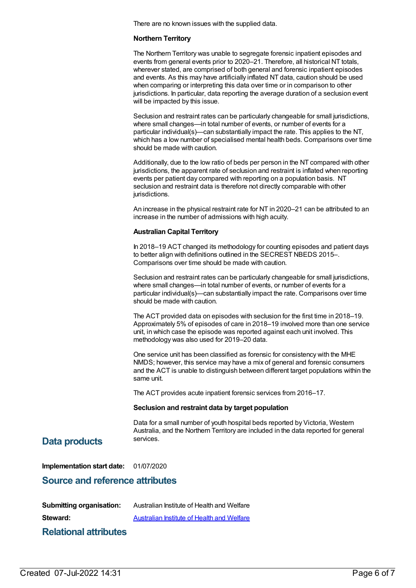There are no known issues with the supplied data.

#### **Northern Territory**

The Northern Territory was unable to segregate forensic inpatient episodes and events from general events prior to 2020–21. Therefore, all historical NT totals, wherever stated, are comprised of both general and forensic inpatient episodes and events. As this may have artificially inflated NT data, caution should be used when comparing or interpreting this data over time or in comparison to other jurisdictions. In particular, data reporting the average duration of a seclusion event will be impacted by this issue.

Seclusion and restraint rates can be particularly changeable for small jurisdictions, where small changes—in total number of events, or number of events for a particular individual(s)—can substantially impact the rate. This applies to the NT, which has a low number of specialised mental health beds. Comparisons over time should be made with caution.

Additionally, due to the low ratio of beds per person in the NT compared with other jurisdictions, the apparent rate of seclusion and restraint is inflated when reporting events per patient day compared with reporting on a population basis. NT seclusion and restraint data is therefore not directly comparable with other jurisdictions.

An increase in the physical restraint rate for NT in 2020–21 can be attributed to an increase in the number of admissions with high acuity.

#### **Australian Capital Territory**

In 2018–19 ACT changed its methodology for counting episodes and patient days to better align with definitions outlined in the SECREST NBEDS 2015–. Comparisons over time should be made with caution.

Seclusion and restraint rates can be particularly changeable for small jurisdictions, where small changes—in total number of events, or number of events for a particular individual(s)—can substantially impact the rate. Comparisons over time should be made with caution.

The ACT provided data on episodes with seclusion for the first time in 2018–19. Approximately 5% of episodes of care in 2018–19 involved more than one service unit, in which case the episode was reported against each unit involved. This methodology was also used for 2019–20 data.

One service unit has been classified as forensic for consistency with the MHE NMDS; however, this service may have a mix of general and forensic consumers and the ACT is unable to distinguish between different target populations within the same unit.

The ACT provides acute inpatient forensic services from 2016–17.

#### **Seclusion and restraint data by target population**

Data for a small number of youth hospital beds reported by Victoria, Western Australia, and the Northern Territory are included in the data reported for general

## services. **Data products**

**Implementation start date:** 01/07/2020

### **Source and reference attributes**

**Submitting organisation:** Australian Institute of Health and Welfare

**Steward:** [Australian](https://meteor.aihw.gov.au/content/246013) Institute of Health and Welfare

**Relational attributes**